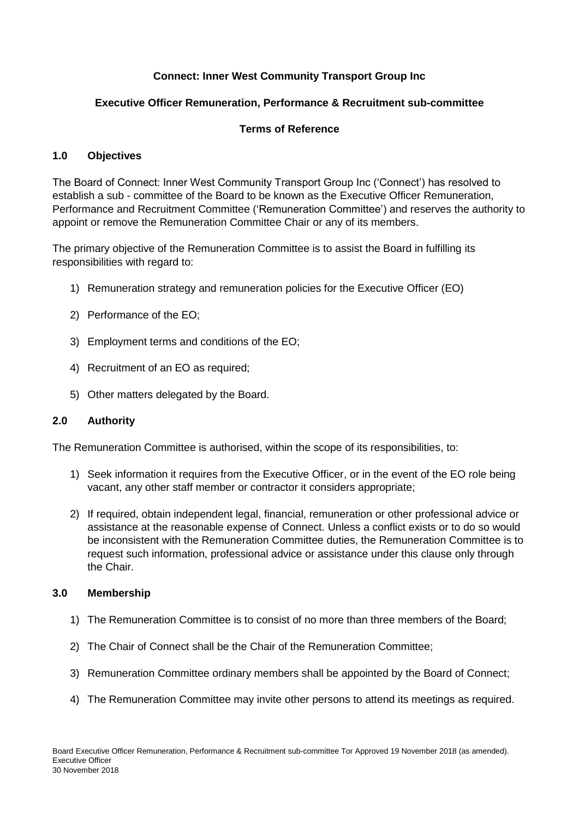# **Connect: Inner West Community Transport Group Inc**

# **Executive Officer Remuneration, Performance & Recruitment sub-committee**

# **Terms of Reference**

## **1.0 Objectives**

The Board of Connect: Inner West Community Transport Group Inc ('Connect') has resolved to establish a sub - committee of the Board to be known as the Executive Officer Remuneration, Performance and Recruitment Committee ('Remuneration Committee') and reserves the authority to appoint or remove the Remuneration Committee Chair or any of its members.

The primary objective of the Remuneration Committee is to assist the Board in fulfilling its responsibilities with regard to:

- 1) Remuneration strategy and remuneration policies for the Executive Officer (EO)
- 2) Performance of the EO;
- 3) Employment terms and conditions of the EO;
- 4) Recruitment of an EO as required;
- 5) Other matters delegated by the Board.

## **2.0 Authority**

The Remuneration Committee is authorised, within the scope of its responsibilities, to:

- 1) Seek information it requires from the Executive Officer, or in the event of the EO role being vacant, any other staff member or contractor it considers appropriate;
- 2) If required, obtain independent legal, financial, remuneration or other professional advice or assistance at the reasonable expense of Connect. Unless a conflict exists or to do so would be inconsistent with the Remuneration Committee duties, the Remuneration Committee is to request such information, professional advice or assistance under this clause only through the Chair.

## **3.0 Membership**

- 1) The Remuneration Committee is to consist of no more than three members of the Board;
- 2) The Chair of Connect shall be the Chair of the Remuneration Committee;
- 3) Remuneration Committee ordinary members shall be appointed by the Board of Connect;
- 4) The Remuneration Committee may invite other persons to attend its meetings as required.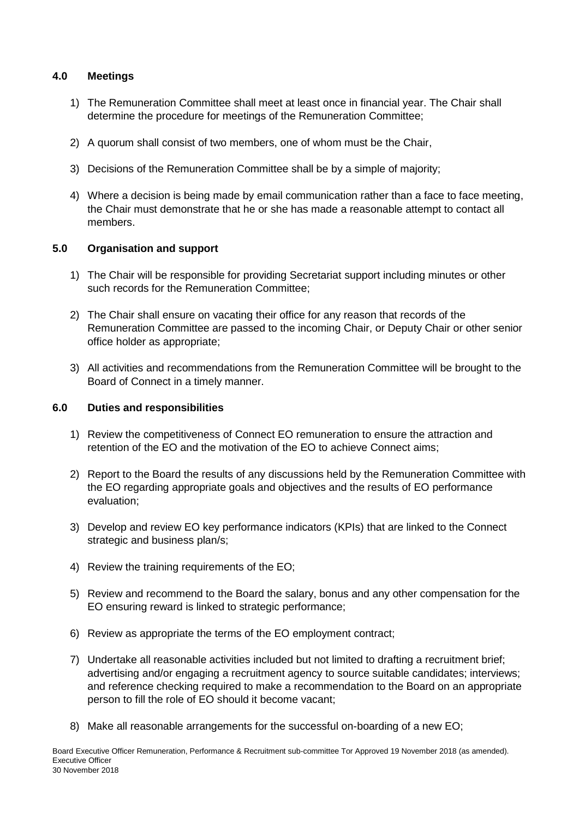# **4.0 Meetings**

- 1) The Remuneration Committee shall meet at least once in financial year. The Chair shall determine the procedure for meetings of the Remuneration Committee;
- 2) A quorum shall consist of two members, one of whom must be the Chair,
- 3) Decisions of the Remuneration Committee shall be by a simple of majority;
- 4) Where a decision is being made by email communication rather than a face to face meeting, the Chair must demonstrate that he or she has made a reasonable attempt to contact all members.

# **5.0 Organisation and support**

- 1) The Chair will be responsible for providing Secretariat support including minutes or other such records for the Remuneration Committee;
- 2) The Chair shall ensure on vacating their office for any reason that records of the Remuneration Committee are passed to the incoming Chair, or Deputy Chair or other senior office holder as appropriate;
- 3) All activities and recommendations from the Remuneration Committee will be brought to the Board of Connect in a timely manner.

## **6.0 Duties and responsibilities**

- 1) Review the competitiveness of Connect EO remuneration to ensure the attraction and retention of the EO and the motivation of the EO to achieve Connect aims;
- 2) Report to the Board the results of any discussions held by the Remuneration Committee with the EO regarding appropriate goals and objectives and the results of EO performance evaluation;
- 3) Develop and review EO key performance indicators (KPIs) that are linked to the Connect strategic and business plan/s;
- 4) Review the training requirements of the EO;
- 5) Review and recommend to the Board the salary, bonus and any other compensation for the EO ensuring reward is linked to strategic performance;
- 6) Review as appropriate the terms of the EO employment contract;
- 7) Undertake all reasonable activities included but not limited to drafting a recruitment brief; advertising and/or engaging a recruitment agency to source suitable candidates; interviews; and reference checking required to make a recommendation to the Board on an appropriate person to fill the role of EO should it become vacant;
- 8) Make all reasonable arrangements for the successful on-boarding of a new EO;